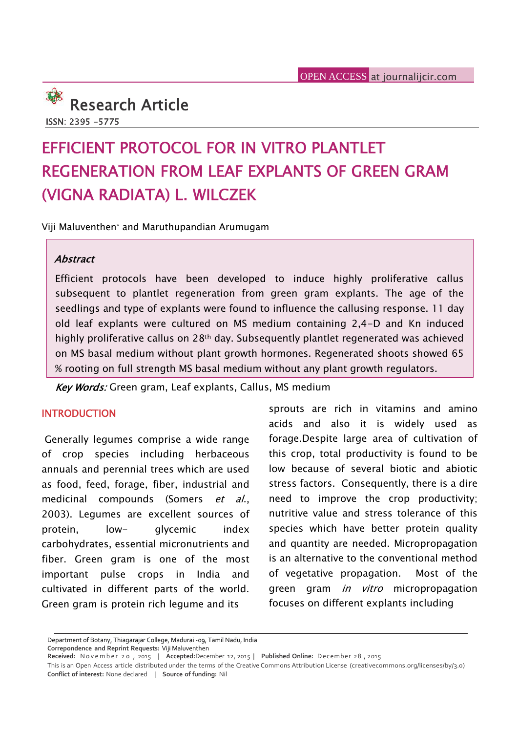

# **EFFICIENT PROTOCOL FOR IN VITRO PLANTLET REGENERATION FROM LEAF EXPLANTS OF GREEN GRAM (VIGNA RADIATA) L. WILCZEK**

Viji Maluventhen\* and Maruthupandian Arumugam

#### *Abstract*

Efficient protocols have been developed to induce highly proliferative callus subsequent to plantlet regeneration from green gram explants. The age of the seedlings and type of explants were found to influence the callusing response. 11 day old leaf explants were cultured on MS medium containing 2,4-D and Kn induced highly proliferative callus on 28<sup>th</sup> day. Subsequently plantlet regenerated was achieved on MS basal medium without plant growth hormones. Regenerated shoots showed 65 % rooting on full strength MS basal medium without any plant growth regulators.

*Key Words:* Green gram, Leaf explants, Callus, MS medium

#### **INTRODUCTION**

Generally legumes comprise a wide range of crop species including herbaceous annuals and perennial trees which are used as food, feed, forage, fiber, industrial and medicinal compounds (Somers *et al*., 2003). Legumes are excellent sources of protein, low- glycemic index carbohydrates, essential micronutrients and fiber. Green gram is one of the most important pulse crops in India and cultivated in different parts of the world. Green gram is protein rich legume and its

sprouts are rich in vitamins and amino acids and also it is widely used as forage.Despite large area of cultivation of this crop, total productivity is found to be low because of several biotic and abiotic stress factors. Consequently, there is a dire need to improve the crop productivity; nutritive value and stress tolerance of this species which have better protein quality and quantity are needed. Micropropagation is an alternative to the conventional method of vegetative propagation. Most of the green gram *in vitro* micropropagation focuses on different explants including

Department of Botany, Thiagarajar College, Madurai -09, Tamil Nadu, India **Correpondence and Reprint Requests:** Viji Maluventhen

Department of Botany, Thiagarajar College, Madurai -og, Tamil Nadu, India<br>Correpondence and Reprint Requests: Viji Maluventhen<br>Received: November 20, 2015 | Accepted:December 12, 2015 | Published Online: December 28, 2015<br> **Conflict of interest:** None declared | **Source of funding:** Nil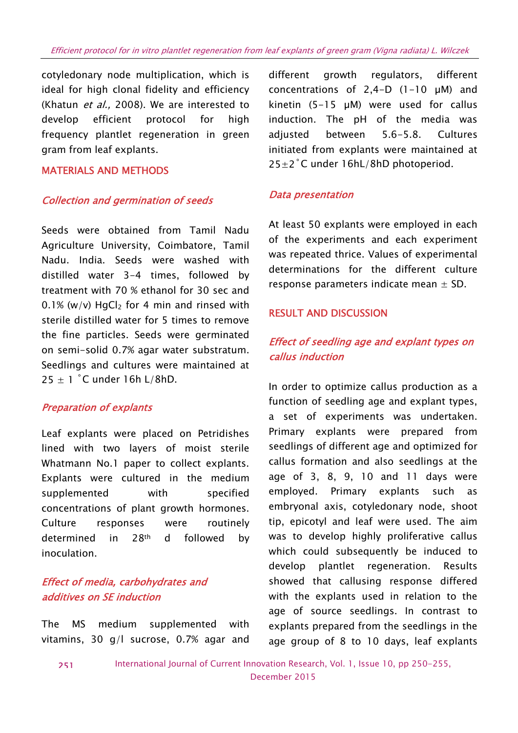cotyledonary node multiplication, which is ideal for high clonal fidelity and efficiency (Khatun *et al.,* 2008). We are interested to develop efficient protocol for high frequency plantlet regeneration in green gram from leaf explants.

#### **MATERIALS AND METHODS**

#### *Collection and germination of seeds*

Seeds were obtained from Tamil Nadu Agriculture University, Coimbatore, Tamil Nadu. India. Seeds were washed with distilled water 3-4 times, followed by treatment with 70 % ethanol for 30 sec and  $0.1\%$  (w/v) HgCl<sub>2</sub> for 4 min and rinsed with sterile distilled water for 5 times to remove the fine particles. Seeds were germinated on semi-solid 0.7% agar water substratum. Seedlings and cultures were maintained at  $25 \pm 1$  °C under 16h L/8hD.

#### *Preparation of explants*

Leaf explants were placed on Petridishes lined with two layers of moist sterile Whatmann No.1 paper to collect explants. Explants were cultured in the medium supplemented with specified concentrations of plant growth hormones. Culture responses were routinely determined in 28th d followed by inoculation.

## *Effect of media, carbohydrates and additives on SE induction*

The MS medium supplemented with vitamins, 30 g/l sucrose, 0.7% agar and

growth regulators, different concentrations of  $2,4-D$  (1-10  $\mu$ M) and kinetin (5-15 µM) were used for callus induction. The pH of the media was adjusted between 5.6-5.8. Cultures initiated from explants were maintained at  $25\pm2$ °C under 16hL/8hD photoperiod.

#### *Data presentation*

At least 50 explants were employed in each of the experiments and each experiment was repeated thrice. Values of experimental determinations for the different culture response parameters indicate mean  $\pm$  SD.

#### **RESULT AND DISCUSSION**

# *Effect of seedling age and explant types on callus induction*

In order to optimize callus production as a function of seedling age and explant types, a set of experiments was undertaken. Primary explants were prepared from seedlings of different age and optimized for callus formation and also seedlings at the age of 3, 8, 9, 10 and 11 days were employed. Primary explants such as embryonal axis, cotyledonary node, shoot tip, epicotyl and leaf were used. The aim was to develop highly proliferative callus which could subsequently be induced to develop plantlet regeneration. Results showed that callusing response differed with the explants used in relation to the age of source seedlings. In contrast to explants prepared from the seedlings in the age group of 8 to 10 days, leaf explants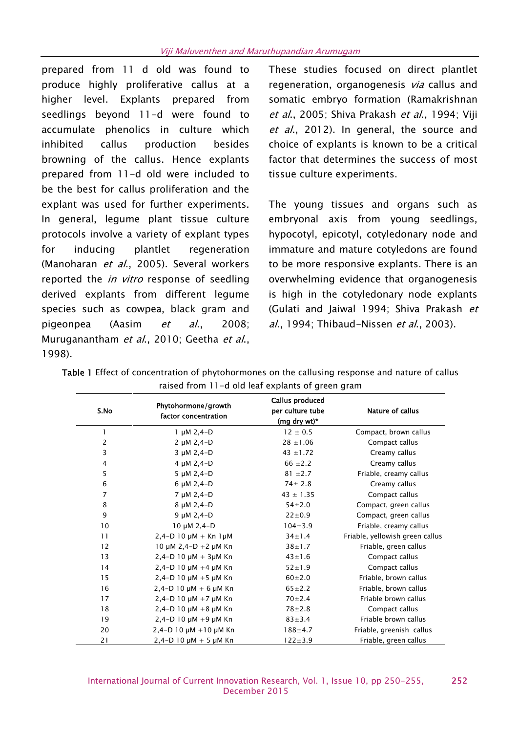prepared from 11 d old was found to produce highly proliferative callus at a higher level. Explants prepared from seedlings beyond 11-d were found to accumulate phenolics in culture which inhibited callus production besides browning of the callus. Hence explants prepared from 11-d old were included to be the best for callus proliferation and the explant was used for further experiments. In general, legume plant tissue culture protocols involve a variety of explant types for inducing plantlet regeneration (Manoharan *et al*., 2005). Several workers reported the *in vitro* response of seedling derived explants from different legume species such as cowpea, black gram and pigeonpea (Aasim *et al*., 2008; Muruganantham *et al*., 2010; Geetha *et al*., 1998).

These studies focused on direct plantlet regeneration, organogenesis *via* callus and somatic embryo formation (Ramakrishnan *et al*., 2005; Shiva Prakash *et al*., 1994; Viji *et al*., 2012). In general, the source and choice of explants is known to be a critical factor that determines the success of most tissue culture experiments.

The young tissues and organs such as embryonal axis from young seedlings, hypocotyl, epicotyl, cotyledonary node and immature and mature cotyledons are found to be more responsive explants. There is an overwhelming evidence that organogenesis is high in the cotyledonary node explants (Gulati and Jaiwal 1994; Shiva Prakash *et al*., 1994; Thibaud-Nissen *et al*., 2003).

| S.No           | Phytohormone/growth<br>factor concentration | Callus produced<br>per culture tube<br>(mg dry wt)* | <b>Nature of callus</b>         |
|----------------|---------------------------------------------|-----------------------------------------------------|---------------------------------|
| 1              | $1 \mu M 2, 4-D$                            | $12 \pm 0.5$                                        | Compact, brown callus           |
|                | 2 µM 2,4-D                                  | $28 \pm 1.06$                                       | Compact callus                  |
| 3              | 3 µM 2,4-D                                  | 43 $\pm$ 1.72                                       | Creamy callus                   |
| $\overline{4}$ | 4 $\mu$ M 2,4-D                             | 66 $\pm 2.2$                                        | Creamy callus                   |
| 5              | 5 $\mu$ M 2,4-D                             | $81 \pm 2.7$                                        | Friable, creamy callus          |
| $\,$ 6 $\,$    | $6 \mu M$ 2,4-D                             | $74 \pm 2.8$                                        | Creamy callus                   |
| 7              | 7 µM 2,4-D                                  | $43 \pm 1.35$                                       | Compact callus                  |
| 8              | 8 µM 2,4-D                                  | $54 \pm 2.0$                                        | Compact, green callus           |
| 9              | $9 \mu M 2, 4-D$                            | $22 \pm 0.9$                                        | Compact, green callus           |
| 10             | $10 \mu M$ 2,4-D                            | $104 \pm 3.9$                                       | Friable, creamy callus          |
| 11             | $2,4-D$ 10 $\mu$ M + Kn 1 $\mu$ M           | $34 \pm 1.4$                                        | Friable, yellowish green callus |
| 12             | 10 $\mu$ M 2,4-D +2 $\mu$ M Kn              | $38 + 1.7$                                          | Friable, green callus           |
| 13             | $2,4-D$ 10 $\mu$ M + 3 $\mu$ M Kn           | $43 \pm 1.6$                                        | Compact callus                  |
| 14             | $2,4-D$ 10 $\mu$ M +4 $\mu$ M Kn            | $52 \pm 1.9$                                        | Compact callus                  |
| 15             | $2,4-D$ 10 $\mu$ M +5 $\mu$ M Kn            | $60 \pm 2.0$                                        | Friable, brown callus           |
| 16             | $2,4-D$ 10 $\mu$ M + 6 $\mu$ M Kn           | $65 \pm 2.2$                                        | Friable, brown callus           |
| 17             | $2,4-D$ 10 $\mu$ M +7 $\mu$ M Kn            | $70 + 2.4$                                          | Friable brown callus            |
| 18             | $2,4-D$ 10 $\mu$ M +8 $\mu$ M Kn            | $78 + 2.8$                                          | Compact callus                  |
| 19             | $2,4-D$ 10 $\mu$ M +9 $\mu$ M Kn            | $83 \pm 3.4$                                        | Friable brown callus            |
| 20             | $2,4-D$ 10 $\mu$ M + 10 $\mu$ M Kn          | $188 + 4.7$                                         | Friable, greenish callus        |
| 21             | $2,4-D$ 10 $\mu$ M + 5 $\mu$ M Kn           | $122 \pm 3.9$                                       | Friable, green callus           |

**Table 1** Effect of concentration of phytohormones on the callusing response and nature of callus raised from 11-d old leaf explants of green gram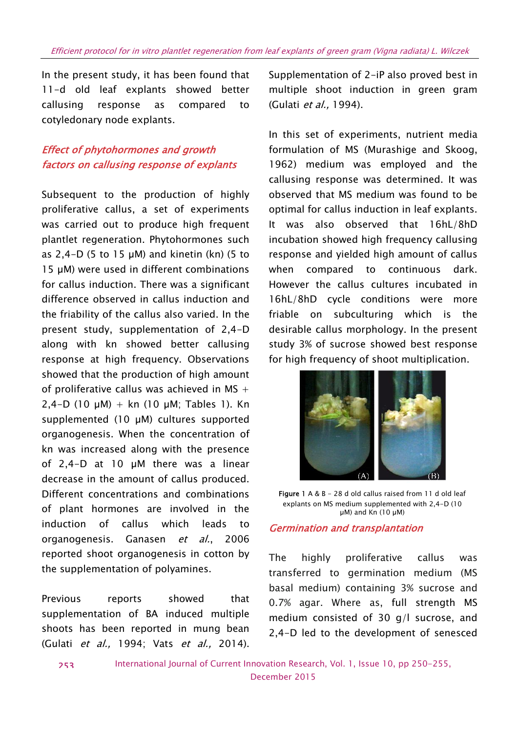In the present study, it has been found that 11-d old leaf explants showed better callusing response as compared to cotyledonary node explants.

# *Effect of phytohormones and growth factors on callusing response of explants*

Subsequent to the production of highly proliferative callus, a set of experiments was carried out to produce high frequent plantlet regeneration. Phytohormones such as  $2.4-D$  (5 to 15  $\mu$ M) and kinetin (kn) (5 to 15 µM) were used in different combinations for callus induction. There was a significant difference observed in callus induction and the friability of the callus also varied. In the present study, supplementation of 2,4-D along with kn showed better callusing response at high frequency. Observations showed that the production of high amount of proliferative callus was achieved in MS  $+$ 2,4-D (10  $\mu$ M) + kn (10  $\mu$ M; Tables 1). Kn supplemented (10 µM) cultures supported organogenesis. When the concentration of kn was increased along with the presence of 2,4-D at 10 µM there was a linear decrease in the amount of callus produced. Different concentrations and combinations of plant hormones are involved in the induction of callus which leads to organogenesis. Ganasen *et al.*, 2006 reported shoot organogenesis in cotton by The the supplementation of polyamines.

Previous reports showed that supplementation of BA induced multiple shoots has been reported in mung bean (Gulati *et al.,* 1994; Vats *et al.,* 2014).

Supplementation of 2-iP also proved best in multiple shoot induction in green gram (Gulati *et al.,* 1994).

In this set of experiments, nutrient media formulation of MS (Murashige and Skoog, 1962) medium was employed and the callusing response was determined. It was observed that MS medium was found to be optimal for callus induction in leaf explants. It was also observed that 16hL/8hD incubation showed high frequency callusing response and yielded high amount of callus when compared to continuous dark. However the callus cultures incubated in 16hL/8hD cycle conditions were more friable on subculturing which is the desirable callus morphology. In the present study 3% of sucrose showed best response for high frequency of shoot multiplication.



**Figure 1** A & B - 28 d old callus raised from 11 d old leaf explants on MS medium supplemented with 2,4-D (10  $\mu$ M) and Kn (10  $\mu$ M)

#### *Germination and transplantation*

highly proliferative callus was transferred to germination medium (MS basal medium) containing 3% sucrose and 0.7% agar. Where as, full strength MS medium consisted of 30 g/l sucrose, and 2,4-D led to the development of senesced

International Journal of Current Innovation Research, Vol. 1, Issue 10, pp 250-255, December 2015 **253**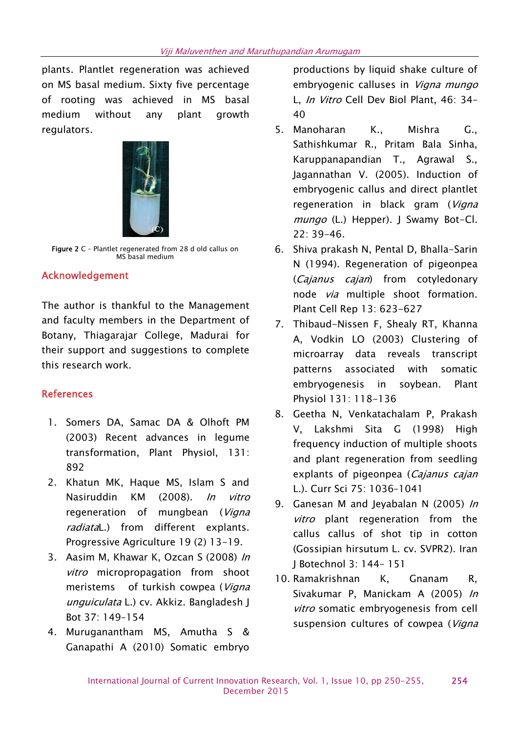plants. Plantlet regeneration was achieved on MS basal medium. Sixty five percentage of rooting was achieved in MS basal medium without any plant growth regulators.



**Figure 2** C – Plantlet regenerated from 28 d old callus on MS basal medium

## **Acknowledgement**

The author is thankful to the Management and faculty members in the Department of Botany, Thiagarajar College, Madurai for their support and suggestions to complete this research work.

## **References**

- 1. Somers DA, Samac DA & Olhoft PM (2003) Recent advances in legume transformation, Plant Physiol, 131: 892
- 2. Khatun MK, Haque MS, Islam S and Nasiruddin KM (2008). *In vitro* regeneration of mungbean (*Vigna radiata*L.) from different explants. Progressive Agriculture 19 (2) 13-19.
- 3. Aasim M, Khawar K, Ozcan S (2008) *In vitro* micropropagation from shoot meristems of turkish cowpea (*Vigna unguiculata* L.) cv. Akkiz. Bangladesh J Bot 37: 149–154
- 4. Muruganantham MS, Amutha S & Ganapathi A (2010) Somatic embryo

productions by liquid shake culture of embryogenic calluses in *Vigna mungo* L, *In Vitro* Cell Dev Biol Plant, 46: 34– 40

- 5. Manoharan K., Mishra G., Sathishkumar R., Pritam Bala Sinha, Karuppanapandian T., Agrawal S., Jagannathan V. (2005). Induction of embryogenic callus and direct plantlet regeneration in black gram (*Vigna mungo* (L.) Hepper). J Swamy Bot-Cl. 22: 39-46.
- 6. Shiva prakash N, Pental D, Bhalla-Sarin N (1994). Regeneration of pigeonpea (*Cajanus cajan*) from cotyledonary node *via* multiple shoot formation. Plant Cell Rep 13: 623-627
- 7. Thibaud-Nissen F, Shealy RT, Khanna A, Vodkin LO (2003) Clustering of microarray data reveals transcript patterns associated with somatic embryogenesis in soybean. Plant Physiol 131: 118-136
- 8. Geetha N, Venkatachalam P, Prakash V, Lakshmi Sita G (1998) High frequency induction of multiple shoots and plant regeneration from seedling explants of pigeonpea (*Cajanus cajan* L.). Curr Sci 75: 1036–1041
- 9. Ganesan M and Jeyabalan N (2005) *In vitro* plant regeneration from the callus callus of shot tip in cotton (Gossipian hirsutum L. cv. SVPR2). Iran J Botechnol 3: 144– 151
- 10. Ramakrishnan K, Gnanam R, Sivakumar P, Manickam A (2005) *In vitro* somatic embryogenesis from cell suspension cultures of cowpea (*Vigna*